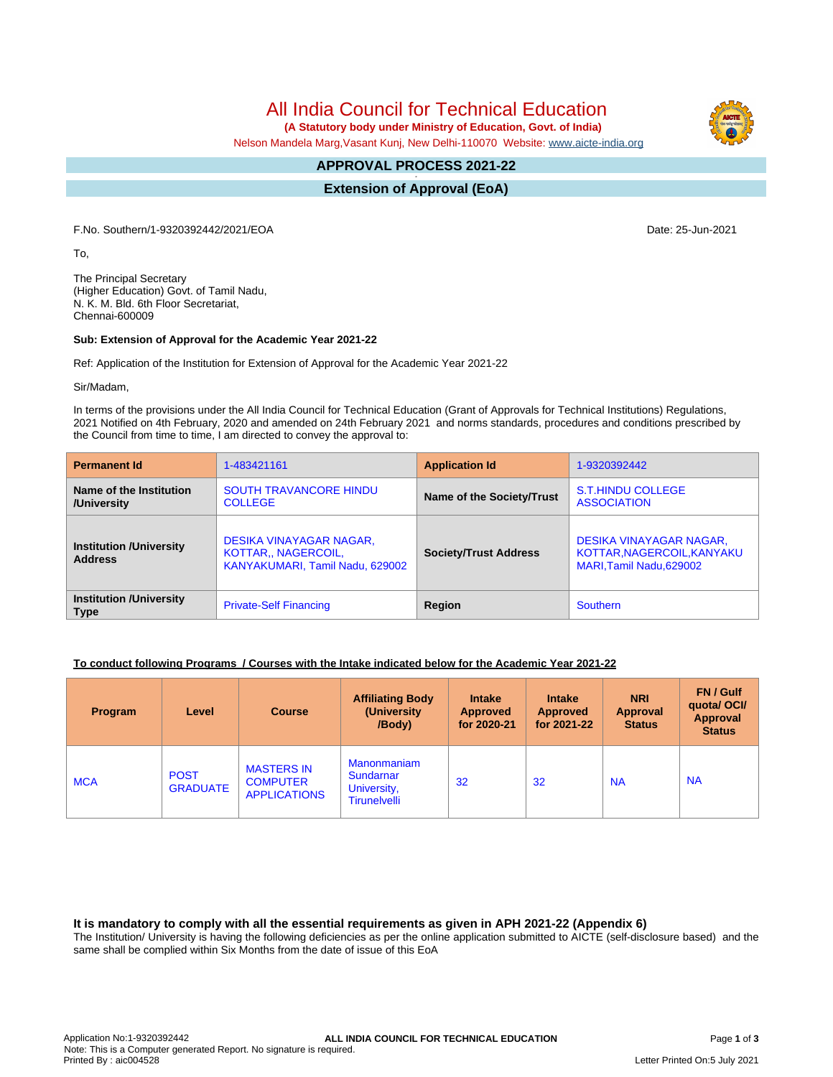All India Council for Technical Education

 **(A Statutory body under Ministry of Education, Govt. of India)**

Nelson Mandela Marg,Vasant Kunj, New Delhi-110070 Website: [www.aicte-india.org](http://www.aicte-india.org)

#### **APPROVAL PROCESS 2021-22 -**

**Extension of Approval (EoA)**

F.No. Southern/1-9320392442/2021/EOA Date: 25-Jun-2021

To,

The Principal Secretary (Higher Education) Govt. of Tamil Nadu, N. K. M. Bld. 6th Floor Secretariat, Chennai-600009

#### **Sub: Extension of Approval for the Academic Year 2021-22**

Ref: Application of the Institution for Extension of Approval for the Academic Year 2021-22

Sir/Madam,

In terms of the provisions under the All India Council for Technical Education (Grant of Approvals for Technical Institutions) Regulations, 2021 Notified on 4th February, 2020 and amended on 24th February 2021 and norms standards, procedures and conditions prescribed by the Council from time to time, I am directed to convey the approval to:

| <b>Permanent Id</b>                              | 1-483421161                                                                       | <b>Application Id</b>        | 1-9320392442                                                                      |  |
|--------------------------------------------------|-----------------------------------------------------------------------------------|------------------------------|-----------------------------------------------------------------------------------|--|
| Name of the Institution<br>/University           | <b>SOUTH TRAVANCORE HINDU</b><br><b>COLLEGE</b>                                   | Name of the Society/Trust    | <b>S.T.HINDU COLLEGE</b><br><b>ASSOCIATION</b>                                    |  |
| <b>Institution /University</b><br><b>Address</b> | DESIKA VINAYAGAR NAGAR,<br>KOTTAR., NAGERCOIL,<br>KANYAKUMARI, Tamil Nadu, 629002 | <b>Society/Trust Address</b> | DESIKA VINAYAGAR NAGAR,<br>KOTTAR, NAGERCOIL, KANYAKU<br>MARI, Tamil Nadu, 629002 |  |
| <b>Institution /University</b><br><b>Type</b>    | <b>Private-Self Financing</b>                                                     | Region                       | <b>Southern</b>                                                                   |  |

#### **To conduct following Programs / Courses with the Intake indicated below for the Academic Year 2021-22**

| <b>Program</b> | Level                          | <b>Course</b>                                               | <b>Affiliating Body</b><br>(University)<br>/Body)                     | <b>Intake</b><br><b>Approved</b><br>for 2020-21 | <b>Intake</b><br><b>Approved</b><br>for 2021-22 | <b>NRI</b><br><b>Approval</b><br><b>Status</b> | FN / Gulf<br>quotal OCI/<br>Approval<br><b>Status</b> |
|----------------|--------------------------------|-------------------------------------------------------------|-----------------------------------------------------------------------|-------------------------------------------------|-------------------------------------------------|------------------------------------------------|-------------------------------------------------------|
| <b>MCA</b>     | <b>POST</b><br><b>GRADUATE</b> | <b>MASTERS IN</b><br><b>COMPUTER</b><br><b>APPLICATIONS</b> | <b>Manonmaniam</b><br>Sundarnar<br>University,<br><b>Tirunelvelli</b> | 32                                              | 32                                              | <b>NA</b>                                      | <b>NA</b>                                             |

**It is mandatory to comply with all the essential requirements as given in APH 2021-22 (Appendix 6)**

The Institution/ University is having the following deficiencies as per the online application submitted to AICTE (self-disclosure based) and the same shall be complied within Six Months from the date of issue of this EoA

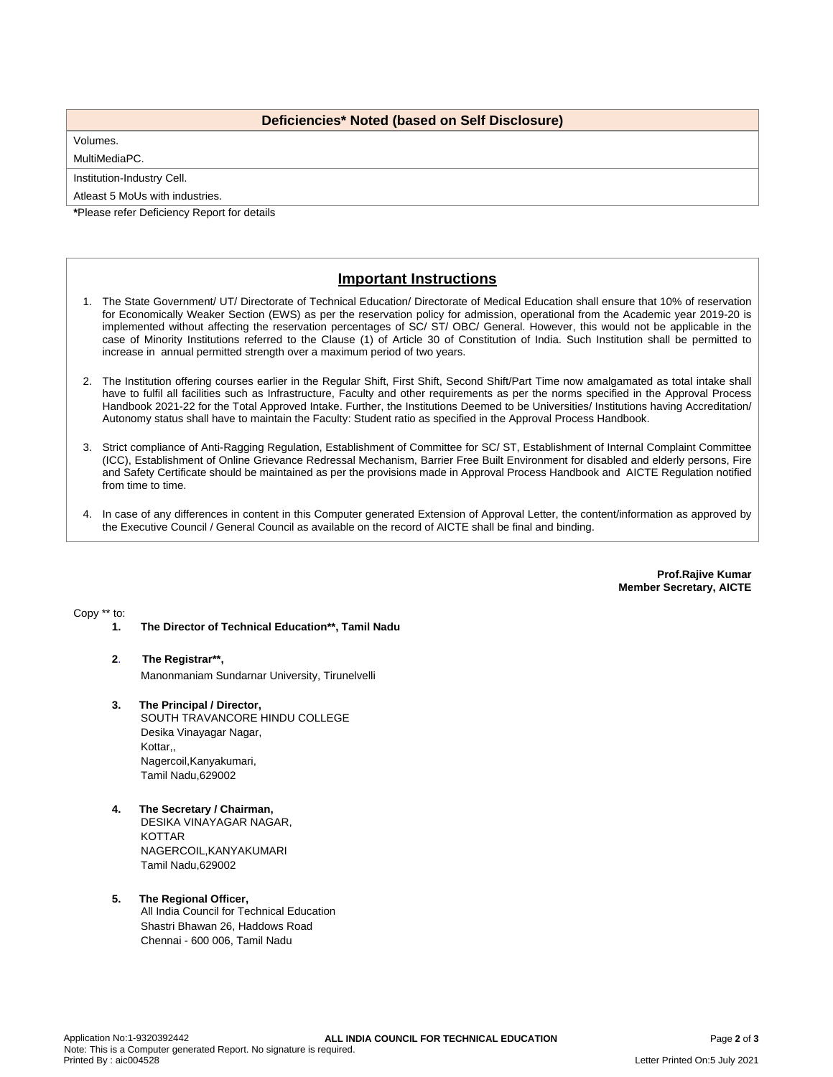### **Deficiencies\* Noted (based on Self Disclosure)**

## Volumes.

MultiMediaPC.

Institution-Industry Cell.

Atleast 5 MoUs with industries.

**\***Please refer Deficiency Report for details

# **Important Instructions**

- 1. The State Government/ UT/ Directorate of Technical Education/ Directorate of Medical Education shall ensure that 10% of reservation for Economically Weaker Section (EWS) as per the reservation policy for admission, operational from the Academic year 2019-20 is implemented without affecting the reservation percentages of SC/ ST/ OBC/ General. However, this would not be applicable in the case of Minority Institutions referred to the Clause (1) of Article 30 of Constitution of India. Such Institution shall be permitted to increase in annual permitted strength over a maximum period of two years.
- 2. The Institution offering courses earlier in the Regular Shift, First Shift, Second Shift/Part Time now amalgamated as total intake shall have to fulfil all facilities such as Infrastructure, Faculty and other requirements as per the norms specified in the Approval Process Handbook 2021-22 for the Total Approved Intake. Further, the Institutions Deemed to be Universities/ Institutions having Accreditation/ Autonomy status shall have to maintain the Faculty: Student ratio as specified in the Approval Process Handbook.
- 3. Strict compliance of Anti-Ragging Regulation, Establishment of Committee for SC/ ST, Establishment of Internal Complaint Committee (ICC), Establishment of Online Grievance Redressal Mechanism, Barrier Free Built Environment for disabled and elderly persons, Fire and Safety Certificate should be maintained as per the provisions made in Approval Process Handbook and AICTE Regulation notified from time to time.
- 4. In case of any differences in content in this Computer generated Extension of Approval Letter, the content/information as approved by the Executive Council / General Council as available on the record of AICTE shall be final and binding.

**Prof.Rajive Kumar Member Secretary, AICTE**

Copy \*\* to:

**1. The Director of Technical Education\*\*, Tamil Nadu**

#### **2**. **The Registrar\*\*,**

Manonmaniam Sundarnar University, Tirunelvelli

- **3. The Principal / Director,** SOUTH TRAVANCORE HINDU COLLEGE Desika Vinayagar Nagar, Kottar,, Nagercoil,Kanyakumari, Tamil Nadu,629002
- **4. The Secretary / Chairman,** DESIKA VINAYAGAR NAGAR, KOTTAR NAGERCOIL,KANYAKUMARI Tamil Nadu,629002
- **5. The Regional Officer,** All India Council for Technical Education Shastri Bhawan 26, Haddows Road Chennai - 600 006, Tamil Nadu